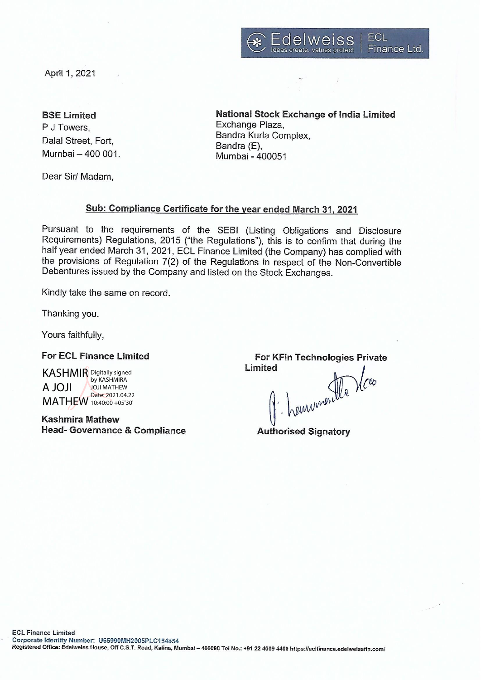

April 1, 2021

## **BSE Limited**

P J Towers. Dalal Street, Fort. Mumbai - 400 001. National Stock Exchange of India Limited Exchange Plaza, Bandra Kurla Complex, Bandra (E), Mumbai - 400051

Dear Sir/ Madam.

# Sub: Compliance Certificate for the year ended March 31, 2021

Pursuant to the requirements of the SEBI (Listing Obligations and Disclosure Requirements) Regulations, 2015 ("the Regulations"), this is to confirm that during the half year ended March 31, 2021, ECL Finance Limited (the Company) has complied with the provisions of Regulation 7(2) of the Regulations in respect of the Non-Convertible Debentures issued by the Company and listed on the Stock Exchanges.

Kindly take the same on record.

Thanking you,

Yours faithfully.

### **For ECL Finance Limited**

**KASHMIR** Digitally signed by KASHMIRA **ILOL A** JOJI MATHEW Date: 2021.04.22 MATHEW 10:40:00 +05'30'

**Kashmira Mathew Head- Governance & Compliance** 

**For KFin Technologies Private** Limited

hemumentle Viceo

**Authorised Signatory**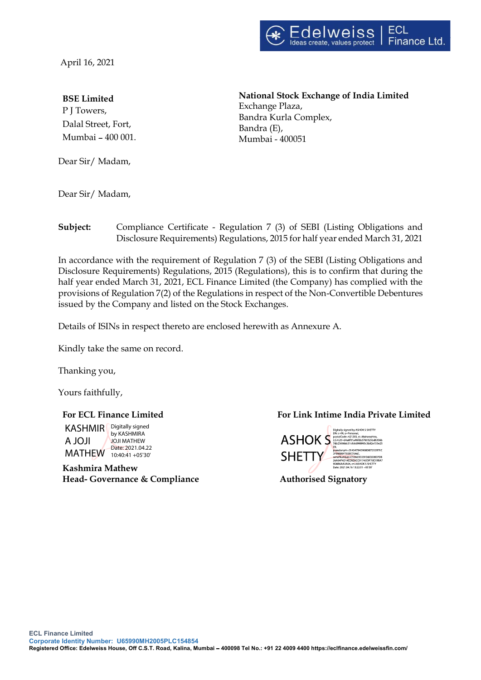

April 16, 2021

#### BSE Limited

P J Towers, Dalal Street, Fort, Mumbai - 400 001.

Dear Sir/ Madam,

National Stock Exchange of India Limited Exchange Plaza, Bandra Kurla Complex, Bandra (E), Mumbai - 400051

Dear Sir/ Madam,

Subject: Compliance Certificate - Regulation 7 (3) of SEBI (Listing Obligations and Disclosure Requirements) Regulations, 2015 for half year ended March 31, 2021

In accordance with the requirement of Regulation 7 (3) of the SEBI (Listing Obligations and Disclosure Requirements) Regulations, 2015 (Regulations), this is to confirm that during the half year ended March 31, 2021, ECL Finance Limited (the Company) has complied with the provisions of Regulation 7(2) of the Regulations in respect of the Non-Convertible Debentures issued by the Company and listed on the Stock Exchanges.

Details of ISINs in respect thereto are enclosed herewith as Annexure A.

Kindly take the same on record.

Thanking you,

Yours faithfully,

KASHMIR<br>
A JOJI<br>
MATHEW<br>
MATHEW<br>
MATHEW<br>
MATHEW<br>
Mathew<br>
Mathew KASHMIR | Digitally signed A JOJI MATHEW 10:40:41 +05'30' by KASHMIRA JOJI MATHEW Date: 2021.04.22

Head- Governance & Compliance **Authorised Signatory** 

### For ECL Finance Limited For Link Intime India Private Limited